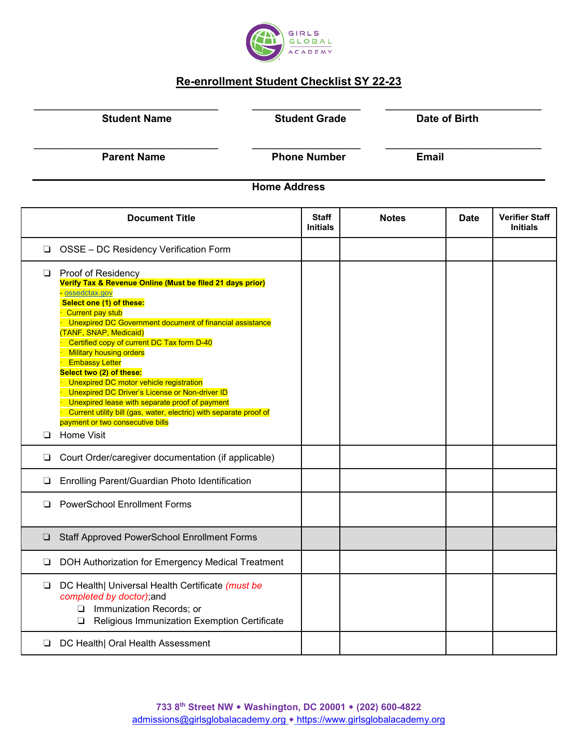

## **Re-enrollment Student Checklist SY 22-23**

|        | <b>Student Name</b>                                                                                                                                                                                                                                                                                                                                                                                                                                                                                                                                                                                                                                         |                     | <b>Student Grade</b> |              | <b>Date of Birth</b> |                                          |
|--------|-------------------------------------------------------------------------------------------------------------------------------------------------------------------------------------------------------------------------------------------------------------------------------------------------------------------------------------------------------------------------------------------------------------------------------------------------------------------------------------------------------------------------------------------------------------------------------------------------------------------------------------------------------------|---------------------|----------------------|--------------|----------------------|------------------------------------------|
|        | <b>Parent Name</b>                                                                                                                                                                                                                                                                                                                                                                                                                                                                                                                                                                                                                                          | <b>Phone Number</b> |                      |              | <b>Email</b>         |                                          |
|        |                                                                                                                                                                                                                                                                                                                                                                                                                                                                                                                                                                                                                                                             | <b>Home Address</b> |                      |              |                      |                                          |
|        | <b>Document Title</b>                                                                                                                                                                                                                                                                                                                                                                                                                                                                                                                                                                                                                                       | <b>Initials</b>     | <b>Staff</b>         | <b>Notes</b> | <b>Date</b>          | <b>Verifier Staff</b><br><b>Initials</b> |
| ❏      | OSSE - DC Residency Verification Form                                                                                                                                                                                                                                                                                                                                                                                                                                                                                                                                                                                                                       |                     |                      |              |                      |                                          |
| ❏<br>□ | Proof of Residency<br>Verify Tax & Revenue Online (Must be filed 21 days prior)<br>- ossedctax.gov<br>Select one (1) of these:<br><b>Current pay stub</b><br>Unexpired DC Government document of financial assistance<br>(TANF, SNAP, Medicaid)<br>Certified copy of current DC Tax form D-40<br><b>Military housing orders</b><br><b>Embassy Letter</b><br>Select two (2) of these:<br>Unexpired DC motor vehicle registration<br>Unexpired DC Driver's License or Non-driver ID<br>Unexpired lease with separate proof of payment<br>Current utility bill (gas, water, electric) with separate proof of<br>payment or two consecutive bills<br>Home Visit |                     |                      |              |                      |                                          |
| ❏      | Court Order/caregiver documentation (if applicable)                                                                                                                                                                                                                                                                                                                                                                                                                                                                                                                                                                                                         |                     |                      |              |                      |                                          |
| ❏      | Enrolling Parent/Guardian Photo Identification                                                                                                                                                                                                                                                                                                                                                                                                                                                                                                                                                                                                              |                     |                      |              |                      |                                          |
| $\Box$ | <b>PowerSchool Enrollment Forms</b>                                                                                                                                                                                                                                                                                                                                                                                                                                                                                                                                                                                                                         |                     |                      |              |                      |                                          |
| ⊔      | <b>Staff Approved PowerSchool Enrollment Forms</b>                                                                                                                                                                                                                                                                                                                                                                                                                                                                                                                                                                                                          |                     |                      |              |                      |                                          |
| ⊔      | DOH Authorization for Emergency Medical Treatment                                                                                                                                                                                                                                                                                                                                                                                                                                                                                                                                                                                                           |                     |                      |              |                      |                                          |
| ❏      | DC Health  Universal Health Certificate (must be<br>completed by doctor);and<br>Immunization Records; or<br>$\Box$<br>Religious Immunization Exemption Certificate<br>❏                                                                                                                                                                                                                                                                                                                                                                                                                                                                                     |                     |                      |              |                      |                                          |
| ⊔      | DC Health  Oral Health Assessment                                                                                                                                                                                                                                                                                                                                                                                                                                                                                                                                                                                                                           |                     |                      |              |                      |                                          |